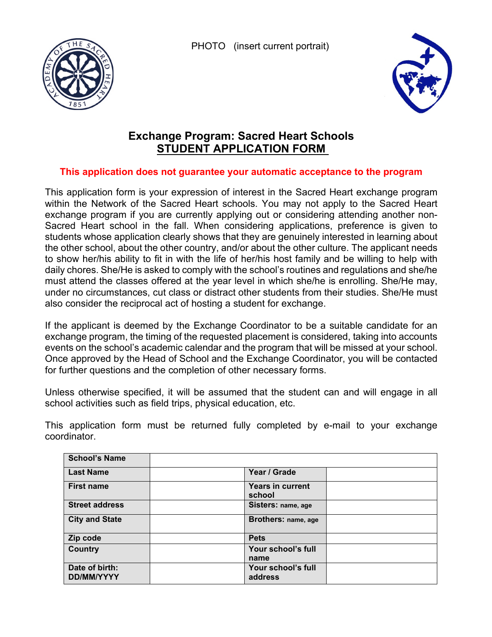PHOTO (insert current portrait)





## **Exchange Program: Sacred Heart Schools STUDENT APPLICATION FORM**

## **This application does not guarantee your automatic acceptance to the program**

This application form is your expression of interest in the Sacred Heart exchange program within the Network of the Sacred Heart schools. You may not apply to the Sacred Heart exchange program if you are currently applying out or considering attending another non-Sacred Heart school in the fall. When considering applications, preference is given to students whose application clearly shows that they are genuinely interested in learning about the other school, about the other country, and/or about the other culture. The applicant needs to show her/his ability to fit in with the life of her/his host family and be willing to help with daily chores. She/He is asked to comply with the school's routines and regulations and she/he must attend the classes offered at the year level in which she/he is enrolling. She/He may, under no circumstances, cut class or distract other students from their studies. She/He must also consider the reciprocal act of hosting a student for exchange.

If the applicant is deemed by the Exchange Coordinator to be a suitable candidate for an exchange program, the timing of the requested placement is considered, taking into accounts events on the school's academic calendar and the program that will be missed at your school. Once approved by the Head of School and the Exchange Coordinator, you will be contacted for further questions and the completion of other necessary forms.

Unless otherwise specified, it will be assumed that the student can and will engage in all school activities such as field trips, physical education, etc.

This application form must be returned fully completed by e-mail to your exchange coordinator.

| <b>School's Name</b>                |                               |  |
|-------------------------------------|-------------------------------|--|
| <b>Last Name</b>                    | Year / Grade                  |  |
| <b>First name</b>                   | Years in current<br>school    |  |
| <b>Street address</b>               | Sisters: name, age            |  |
| <b>City and State</b>               | Brothers: name, age           |  |
| Zip code                            | <b>Pets</b>                   |  |
| <b>Country</b>                      | Your school's full<br>name    |  |
| Date of birth:<br><b>DD/MM/YYYY</b> | Your school's full<br>address |  |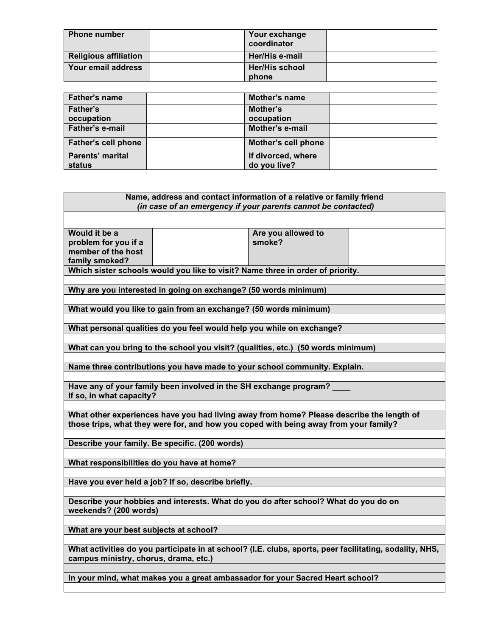| <b>Phone number</b>          | Your exchange<br>coordinator   |  |
|------------------------------|--------------------------------|--|
| <b>Religious affiliation</b> | Her/His e-mail                 |  |
| Your email address           | <b>Her/His school</b><br>phone |  |

| Father's name              | <b>Mother's name</b> |  |
|----------------------------|----------------------|--|
| <b>Father's</b>            | Mother's             |  |
| occupation                 | occupation           |  |
| <b>Father's e-mail</b>     | Mother's e-mail      |  |
| <b>Father's cell phone</b> | Mother's cell phone  |  |
| <b>Parents' marital</b>    | If divorced, where   |  |
| status                     | do you live?         |  |

| Name, address and contact information of a relative or family friend<br>(in case of an emergency if your parents cannot be contacted)                                            |  |  |  |  |
|----------------------------------------------------------------------------------------------------------------------------------------------------------------------------------|--|--|--|--|
| Would it be a<br>Are you allowed to<br>problem for you if a<br>smoke?                                                                                                            |  |  |  |  |
| member of the host<br>family smoked?<br>Which sister schools would you like to visit? Name three in order of priority.                                                           |  |  |  |  |
| Why are you interested in going on exchange? (50 words minimum)                                                                                                                  |  |  |  |  |
| What would you like to gain from an exchange? (50 words minimum)                                                                                                                 |  |  |  |  |
| What personal qualities do you feel would help you while on exchange?                                                                                                            |  |  |  |  |
| What can you bring to the school you visit? (qualities, etc.) (50 words minimum)                                                                                                 |  |  |  |  |
| Name three contributions you have made to your school community. Explain.                                                                                                        |  |  |  |  |
| Have any of your family been involved in the SH exchange program?<br>If so, in what capacity?                                                                                    |  |  |  |  |
| What other experiences have you had living away from home? Please describe the length of<br>those trips, what they were for, and how you coped with being away from your family? |  |  |  |  |
| Describe your family. Be specific. (200 words)                                                                                                                                   |  |  |  |  |
| What responsibilities do you have at home?                                                                                                                                       |  |  |  |  |
| Have you ever held a job? If so, describe briefly.                                                                                                                               |  |  |  |  |
| Describe your hobbies and interests. What do you do after school? What do you do on<br>weekends? (200 words)                                                                     |  |  |  |  |
| What are your best subjects at school?                                                                                                                                           |  |  |  |  |
| What activities do you participate in at school? (I.E. clubs, sports, peer facilitating, sodality, NHS,<br>campus ministry, chorus, drama, etc.)                                 |  |  |  |  |
| In your mind, what makes you a great ambassador for your Sacred Heart school?                                                                                                    |  |  |  |  |